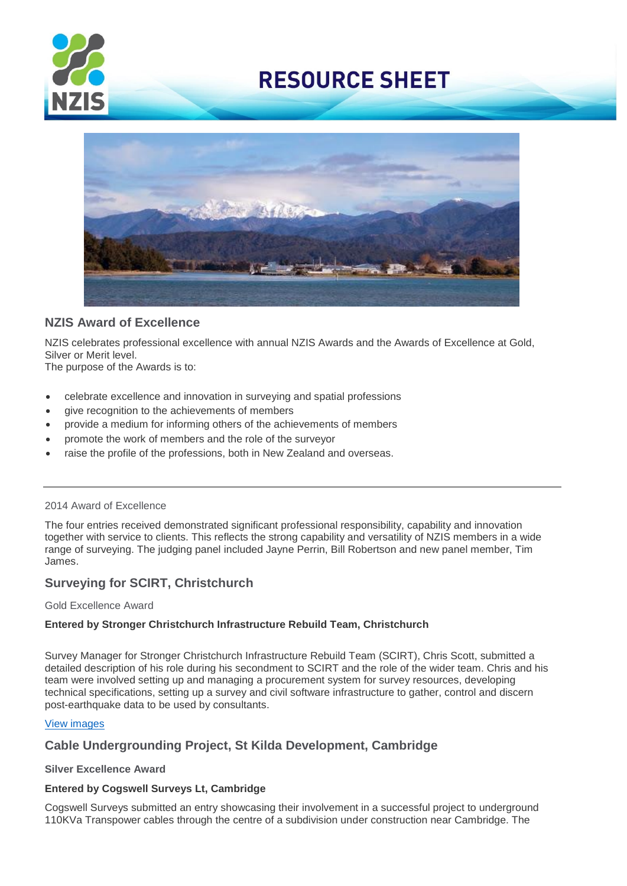



# **NZIS Award of Excellence**

NZIS celebrates professional excellence with annual NZIS Awards and the Awards of Excellence at Gold, Silver or Merit level.

The purpose of the Awards is to:

- celebrate excellence and innovation in surveying and spatial professions
- give recognition to the achievements of members
- provide a medium for informing others of the achievements of members
- promote the work of members and the role of the surveyor
- raise the profile of the professions, both in New Zealand and overseas.

### 2014 Award of Excellence

The four entries received demonstrated significant professional responsibility, capability and innovation together with service to clients. This reflects the strong capability and versatility of NZIS members in a wide range of surveying. The judging panel included Jayne Perrin, Bill Robertson and new panel member, Tim James.

# **Surveying for SCIRT, Christchurch**

#### Gold Excellence Award

## **Entered by Stronger Christchurch Infrastructure Rebuild Team, Christchurch**

Survey Manager for Stronger Christchurch Infrastructure Rebuild Team (SCIRT), Chris Scott, submitted a detailed description of his role during his secondment to SCIRT and the role of the wider team. Chris and his team were involved setting up and managing a procurement system for survey resources, developing technical specifications, setting up a survey and civil software infrastructure to gather, control and discern post-earthquake data to be used by consultants.

## [View images](https://goo.gl/photos/voTKbQJUioGtqPdH9)

# **Cable Undergrounding Project, St Kilda Development, Cambridge**

## **Silver Excellence Award**

## **Entered by Cogswell Surveys Lt, Cambridge**

Cogswell Surveys submitted an entry showcasing their involvement in a successful project to underground 110KVa Transpower cables through the centre of a subdivision under construction near Cambridge. The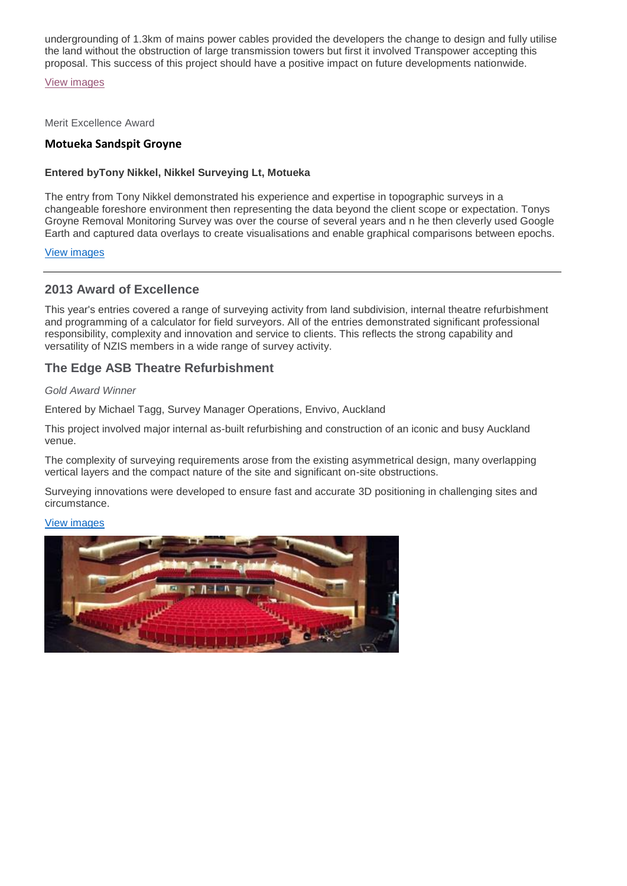undergrounding of 1.3km of mains power cables provided the developers the change to design and fully utilise the land without the obstruction of large transmission towers but first it involved Transpower accepting this proposal. This success of this project should have a positive impact on future developments nationwide.

[View images](https://goo.gl/photos/MWa2FA6dDsWLHTUr9)

Merit Excellence Award

# **Motueka Sandspit Groyne**

### **Entered byTony Nikkel, Nikkel Surveying Lt, Motueka**

The entry from Tony Nikkel demonstrated his experience and expertise in topographic surveys in a changeable foreshore environment then representing the data beyond the client scope or expectation. Tonys Groyne Removal Monitoring Survey was over the course of several years and n he then cleverly used Google Earth and captured data overlays to create visualisations and enable graphical comparisons between epochs.

View [images](https://goo.gl/photos/uYfARao5W9spN7bV6)

# **2013 Award of Excellence**

This year's entries covered a range of surveying activity from land subdivision, internal theatre refurbishment and programming of a calculator for field surveyors. All of the entries demonstrated significant professional responsibility, complexity and innovation and service to clients. This reflects the strong capability and versatility of NZIS members in a wide range of survey activity.

# **The Edge ASB Theatre Refurbishment**

### *Gold Award Winner*

Entered by Michael Tagg, Survey Manager Operations, Envivo, Auckland

This project involved major internal as-built refurbishing and construction of an iconic and busy Auckland venue.

The complexity of surveying requirements arose from the existing asymmetrical design, many overlapping vertical layers and the compact nature of the site and significant on-site obstructions.

Surveying innovations were developed to ensure fast and accurate 3D positioning in challenging sites and circumstance.

#### View [images](https://get.google.com/albumarchive/104308878353188685967/album/AF1QipMmPGAzRHUp11n-c1rhj35r16p5v4SSU4bN_Qer/AF1QipNw-OVOlWIfGDx981vmo9MRLR4uJE-AKdU1zXSN?source=pwa&authKey=CJnMnISTxMnI-gE#6081006253390514610)

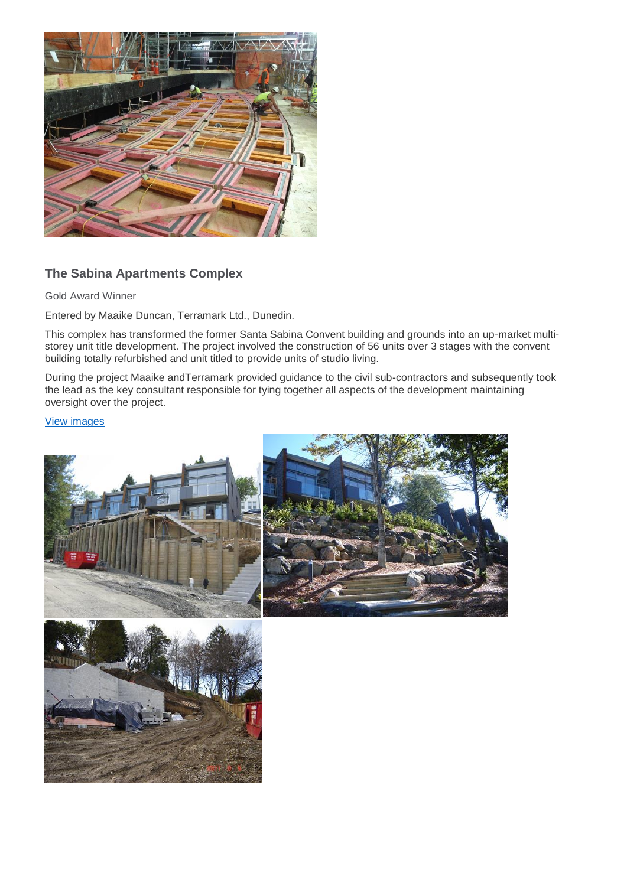

# **The Sabina Apartments Complex**

Gold Award Winner

Entered by Maaike Duncan, Terramark Ltd., Dunedin.

This complex has transformed the former Santa Sabina Convent building and grounds into an up-market multistorey unit title development. The project involved the construction of 56 units over 3 stages with the convent building totally refurbished and unit titled to provide units of studio living.

During the project Maaike andTerramark provided guidance to the civil sub-contractors and subsequently took the lead as the key consultant responsible for tying together all aspects of the development maintaining oversight over the project.

## [View images](https://goo.gl/photos/KMswZ97y4Z8oLocz7)



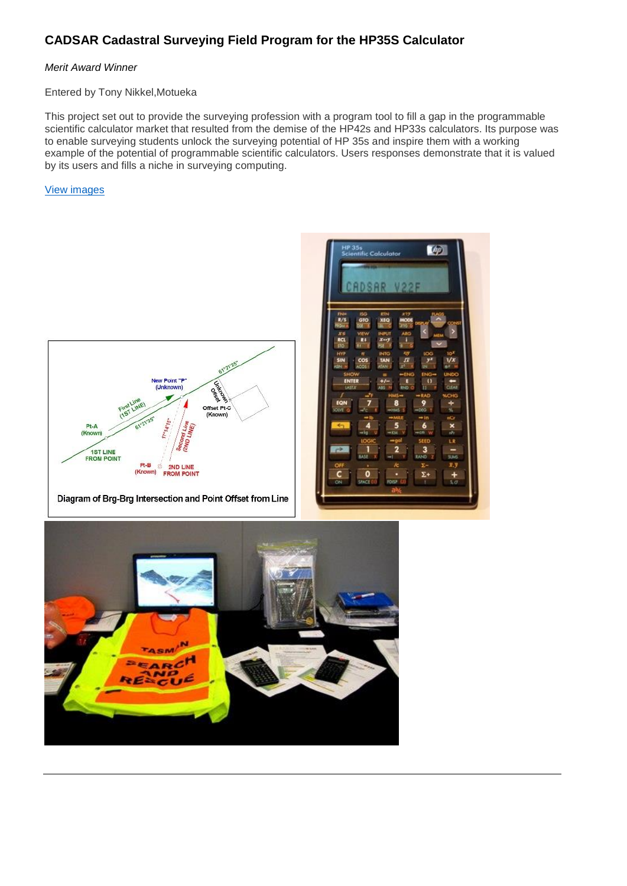# **CADSAR Cadastral Surveying Field Program for the HP35S Calculator**

### *Merit Award Winner*

#### Entered by Tony Nikkel,Motueka

This project set out to provide the surveying profession with a program tool to fill a gap in the programmable scientific calculator market that resulted from the demise of the HP42s and HP33s calculators. Its purpose was to enable surveying students unlock the surveying potential of HP 35s and inspire them with a working example of the potential of programmable scientific calculators. Users responses demonstrate that it is valued by its users and fills a niche in surveying computing.

### View [images](https://goo.gl/photos/F6Ho8ed3dmstUMKbA)



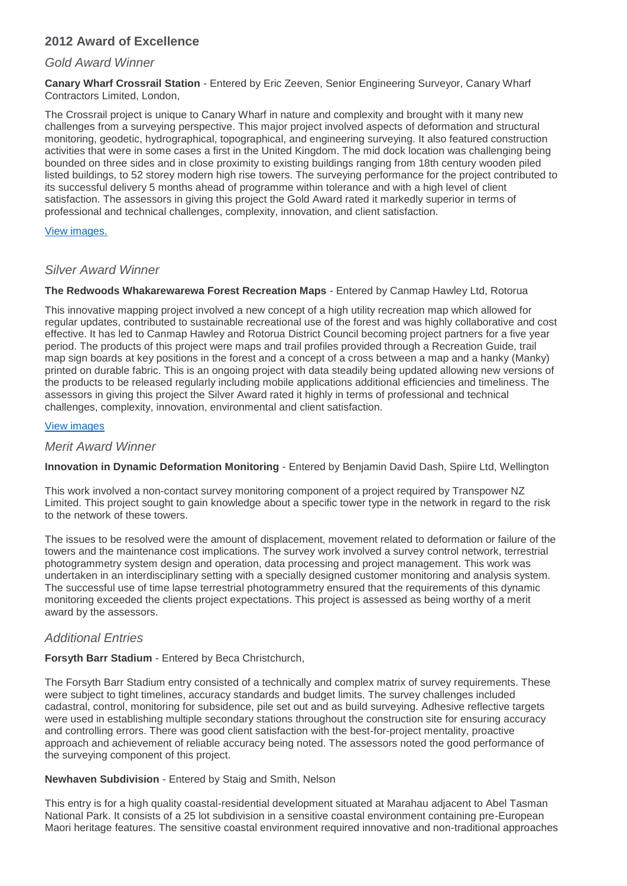# **2012 Award of Excellence**

# *Gold Award Winner*

**Canary Wharf Crossrail Station** - Entered by Eric Zeeven, Senior Engineering Surveyor, Canary Wharf Contractors Limited, London,

The Crossrail project is unique to Canary Wharf in nature and complexity and brought with it many new challenges from a surveying perspective. This major project involved aspects of deformation and structural monitoring, geodetic, hydrographical, topographical, and engineering surveying. It also featured construction activities that were in some cases a first in the United Kingdom. The mid dock location was challenging being bounded on three sides and in close proximity to existing buildings ranging from 18th century wooden piled listed buildings, to 52 storey modern high rise towers. The surveying performance for the project contributed to its successful delivery 5 months ahead of programme within tolerance and with a high level of client satisfaction. The assessors in giving this project the Gold Award rated it markedly superior in terms of professional and technical challenges, complexity, innovation, and client satisfaction.

### View [images.](https://goo.gl/photos/euCy5dt6nAkky37U7)

# *Silver Award Winner*

**The Redwoods Whakarewarewa Forest Recreation Maps** - Entered by Canmap Hawley Ltd, Rotorua

This innovative mapping project involved a new concept of a high utility recreation map which allowed for regular updates, contributed to sustainable recreational use of the forest and was highly collaborative and cost effective. It has led to Canmap Hawley and Rotorua District Council becoming project partners for a five year period. The products of this project were maps and trail profiles provided through a Recreation Guide, trail map sign boards at key positions in the forest and a concept of a cross between a map and a hanky (Manky) printed on durable fabric. This is an ongoing project with data steadily being updated allowing new versions of the products to be released regularly including mobile applications additional efficiencies and timeliness. The assessors in giving this project the Silver Award rated it highly in terms of professional and technical challenges, complexity, innovation, environmental and client satisfaction.

### [View images](https://goo.gl/photos/LoxK9KW2gxXaG9PZA)

## *Merit Award Winner*

**Innovation in Dynamic Deformation Monitoring** - Entered by Benjamin David Dash, Spiire Ltd, Wellington

This work involved a non-contact survey monitoring component of a project required by Transpower NZ Limited. This project sought to gain knowledge about a specific tower type in the network in regard to the risk to the network of these towers.

The issues to be resolved were the amount of displacement, movement related to deformation or failure of the towers and the maintenance cost implications. The survey work involved a survey control network, terrestrial photogrammetry system design and operation, data processing and project management. This work was undertaken in an interdisciplinary setting with a specially designed customer monitoring and analysis system. The successful use of time lapse terrestrial photogrammetry ensured that the requirements of this dynamic monitoring exceeded the clients project expectations. This project is assessed as being worthy of a merit award by the assessors.

# *Additional Entries*

## **Forsyth Barr Stadium** - Entered by Beca Christchurch,

The Forsyth Barr Stadium entry consisted of a technically and complex matrix of survey requirements. These were subject to tight timelines, accuracy standards and budget limits. The survey challenges included cadastral, control, monitoring for subsidence, pile set out and as build surveying. Adhesive reflective targets were used in establishing multiple secondary stations throughout the construction site for ensuring accuracy and controlling errors. There was good client satisfaction with the best-for-project mentality, proactive approach and achievement of reliable accuracy being noted. The assessors noted the good performance of the surveying component of this project.

## **Newhaven Subdivision** - Entered by Staig and Smith, Nelson

This entry is for a high quality coastal-residential development situated at Marahau adjacent to Abel Tasman National Park. It consists of a 25 lot subdivision in a sensitive coastal environment containing pre-European Maori heritage features. The sensitive coastal environment required innovative and non-traditional approaches